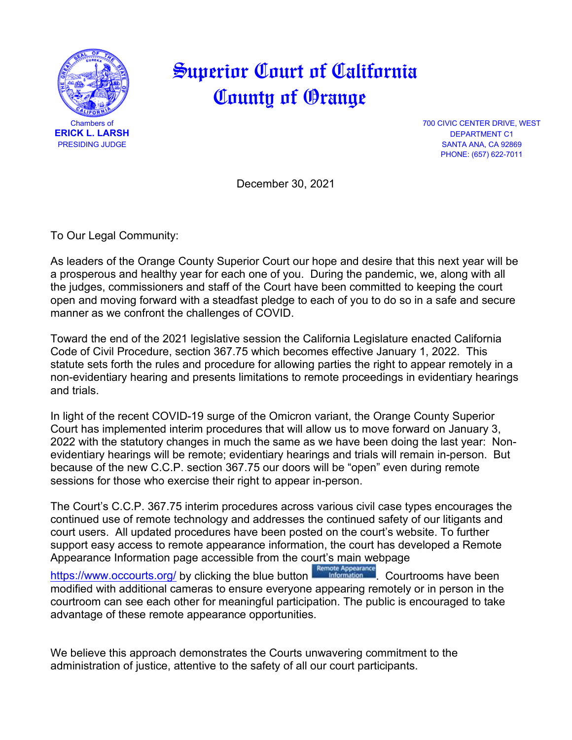

## Superior Court of California County of Orange

**700 CIVIC CENTER DRIVE, WEST ERICK L. LARSH** DEPARTMENT C1 SANTA ANA, CA 92869 PHONE: (657) 622-7011

December 30, 2021

To Our Legal Community:

As leaders of the Orange County Superior Court our hope and desire that this next year will be a prosperous and healthy year for each one of you. During the pandemic, we, along with all the judges, commissioners and staff of the Court have been committed to keeping the court open and moving forward with a steadfast pledge to each of you to do so in a safe and secure manner as we confront the challenges of COVID.

Toward the end of the 2021 legislative session the California Legislature enacted California Code of Civil Procedure, section 367.75 which becomes effective January 1, 2022. This statute sets forth the rules and procedure for allowing parties the right to appear remotely in a non-evidentiary hearing and presents limitations to remote proceedings in evidentiary hearings and trials.

In light of the recent COVID-19 surge of the Omicron variant, the Orange County Superior Court has implemented interim procedures that will allow us to move forward on January 3, 2022 with the statutory changes in much the same as we have been doing the last year: Nonevidentiary hearings will be remote; evidentiary hearings and trials will remain in-person. But because of the new C.C.P. section 367.75 our doors will be "open" even during remote sessions for those who exercise their right to appear in-person.

The Court's C.C.P. 367.75 interim procedures across various civil case types encourages the continued use of remote technology and addresses the continued safety of our litigants and court users. All updated procedures have been posted on the court's website. To further support easy access to remote appearance information, the court has developed a Remote Appearance Information page accessible from the court's main webpage

[https://www.occourts.org/](https://gcc02.safelinks.protection.outlook.com/?url=https%3A%2F%2Fwww.occourts.org%2F&data=04%7C01%7CELarsh%40occourts.org%7C27f4ecf115964a92fa1c08d9cbe8dfb3%7C91db64d0e9d043a4a34b2283395ed452%7C0%7C0%7C637765023306405560%7CUnknown%7CTWFpbGZsb3d8eyJWIjoiMC4wLjAwMDAiLCJQIjoiV2luMzIiLCJBTiI6Ik1haWwiLCJXVCI6Mn0%3D%7C3000&sdata=JFMM%2Bnbz9QroDVADgjBxFxFuDj6b2dVXVCl0bNfFs%2Fg%3D&reserved=0) by clicking the blue button **Example Appearance** Courtrooms have been modified with additional cameras to ensure everyone appearing remotely or in person in the courtroom can see each other for meaningful participation. The public is encouraged to take advantage of these remote appearance opportunities.

We believe this approach demonstrates the Courts unwavering commitment to the administration of justice, attentive to the safety of all our court participants.